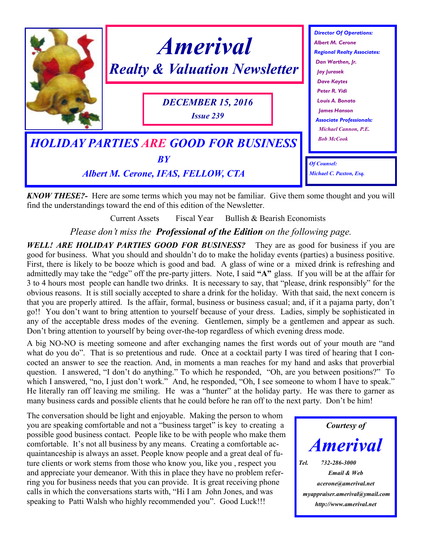

*KNOW THESE?-* Here are some terms which you may not be familiar. Give them some thought and you will find the understandings toward the end of this edition of the Newsletter.

Current Assets Fiscal Year Bullish & Bearish Economists

*Please don't miss the Professional of the Edition on the following page.*

*WELL! ARE HOLIDAY PARTIES GOOD FOR BUSINESS?* They are as good for business if you are good for business. What you should and shouldn't do to make the holiday events (parties) a business positive. First, there is likely to be booze which is good and bad. A glass of wine or a mixed drink is refreshing and admittedly may take the "edge" off the pre-party jitters. Note, I said **"A"** glass. If you will be at the affair for 3 to 4 hours most people can handle two drinks. It is necessary to say, that "please, drink responsibly" for the obvious reasons. It is still socially accepted to share a drink for the holiday. With that said, the next concern is that you are properly attired. Is the affair, formal, business or business casual; and, if it a pajama party, don't go!! You don't want to bring attention to yourself because of your dress. Ladies, simply be sophisticated in any of the acceptable dress modes of the evening. Gentlemen, simply be a gentlemen and appear as such. Don't bring attention to yourself by being over-the-top regardless of which evening dress mode.

A big NO-NO is meeting someone and after exchanging names the first words out of your mouth are "and what do you do". That is so pretentious and rude. Once at a cocktail party I was tired of hearing that I concocted an answer to see the reaction. And, in moments a man reaches for my hand and asks that proverbial question. I answered, "I don't do anything." To which he responded, "Oh, are you between positions?" To which I answered, "no, I just don't work." And, he responded, "Oh, I see someone to whom I have to speak." He literally ran off leaving me smiling. He was a "hunter" at the holiday party. He was there to garner as many business cards and possible clients that he could before he ran off to the next party. Don't be him!

The conversation should be light and enjoyable. Making the person to whom you are speaking comfortable and not a "business target" is key to creating a possible good business contact. People like to be with people who make them comfortable. It's not all business by any means. Creating a comfortable acquaintanceship is always an asset. People know people and a great deal of future clients or work stems from those who know you, like you , respect you and appreciate your demeanor. With this in place they have no problem referring you for business needs that you can provide. It is great receiving phone calls in which the conversations starts with, "Hi I am John Jones, and was speaking to Patti Walsh who highly recommended you". Good Luck!!!